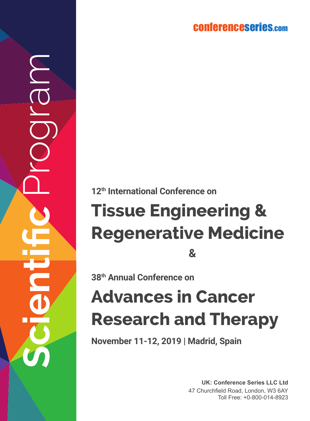conferenceserie s.co m

**12th International Conference on**

# **Tissue Engineering & Regenerative Medicine 38th Annual Conference on&**

**Scientific** Program

## **Advances in Cancer Research and Therapy**

**November 11-12, 2019 | Madrid, Spain**

**UK: Conference Series LLC Ltd** 47 Churchfield Road, London, W3 6AY Toll Free: +0-800-014-8923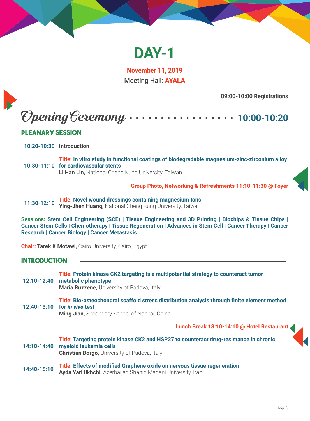

**November 11, 2019** Meeting Hall: **AYALA**

**09:00-10:00 Registrations**

## Opening Ceremony **10:00-10:20**

#### **Pleanary Session**

**10:20-10:30 Introduction**

**10:30-11:10 for cardiovascular stents Title: In vitro study in functional coatings of biodegradable magnesium-zinc-zirconium alloy Li Han Lin,** National Cheng Kung University, Taiwan

**Group Photo, Networking & Refreshments 11:10-11:30 @ Foyer**

**11:30-12:10 Title: Novel wound dressings containing magnesium Ions Ying-Jhen Huang,** National Cheng Kung University, Taiwan

**Sessions: Stem Cell Engineering (SCE) | Tissue Engineering and 3D Printing | Biochips & Tissue Chips | Cancer Stem Cells | Chemotherapy | Tissue Regeneration | Advances in Stem Cell | Cancer Therapy | Cancer Research | Cancer Biology | Cancer Metastasis**

**Chair: Tarek K Motawi,** Cairo University, Cairo, Egypt

#### **Introduction**

**12:10-12:40 metabolic phenotype Title: Protein kinase CK2 targeting is a multipotential strategy to counteract tumor Maria Ruzzene,** University of Padova, Italy

**12:40-13:10 for** *in vivo* **test Title: Bio-osteochondral scaffold stress distribution analysis through finite element method Ming Jian,** Secondary School of Nankai, China

**Lunch Break 13:10-14:10 @ Hotel Restaurant** 



**14:40-15:10 Title: Effects of modified Graphene oxide on nervous tissue regeneration Ayda Yari Ilkhchi,** Azerbaijan Shahid Madani University, Iran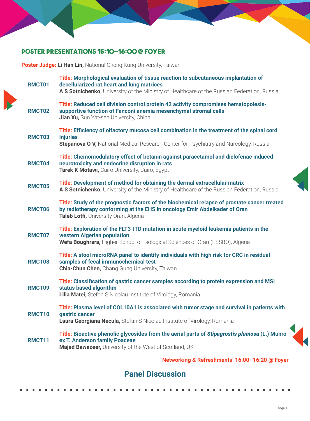#### **Poster Presentations 15:10-16:00 @ Foyer**

**Poster Judge: Li Han Lin,** National Cheng Kung University, Taiwan

| RMCT01 | Title: Morphological evaluation of tissue reaction to subcutaneous implantation of<br>decellularized rat heart and lung matrices<br>A S Sotnichenko, University of the Ministry of Healthcare of the Russian Federation, Russia |
|--------|---------------------------------------------------------------------------------------------------------------------------------------------------------------------------------------------------------------------------------|
| RMCT02 | Title: Reduced cell division control protein 42 activity compromises hematopoiesis-<br>supportive function of Fanconi anemia mesenchymal stromal cells<br>Jian Xu, Sun Yat-sen University, China                                |
| RMCT03 | Title: Efficiency of olfactory mucosa cell combination in the treatment of the spinal cord<br><b>injuries</b><br>Stepanova O V, National Medical Research Center for Psychiatry and Narcology, Russia                           |
| RMCT04 | Title: Chemomodulatory effect of betanin against paracetamol and diclofenac induced<br>neurotoxicity and endocrine disruption in rats<br>Tarek K Motawi, Cairo University, Cairo, Egypt                                         |
| RMCT05 | Title: Development of method for obtaining the dermal extracellular matrix<br>A S Sotnichenko, University of the Ministry of Healthcare of the Russian Federation, Russia                                                       |
| RMCT06 | Title: Study of the prognostic factors of the biochemical relapse of prostate cancer treated<br>by radiotherapy conforming at the EHS in oncology Emir Abdelkader of Oran<br>Taleb Lotfi, University Oran, Algeria              |
| RMCT07 | Title: Exploration of the FLT3-ITD mutation in acute myeloid leukemia patients in the<br>western Algerian population<br>Wefa Boughrara, Higher School of Biological Sciences of Oran (ESSBO), Algeria                           |
| RMCT08 | Title: A stool microRNA panel to identify individuals with high risk for CRC in residual<br>samples of fecal immunochemical test<br><b>Chia-Chun Chen, Chang Gung University, Taiwan</b>                                        |
| RMCT09 | Title: Classification of gastric cancer samples according to protein expression and MSI<br>status based algorithm<br>Lilia Matei, Stefan S Nicolau Institute of Virology, Romania                                               |
| RMCT10 | Title: Plasma level of COL10A1 is associated with tumor stage and survival in patients with<br>gastric cancer<br><b>Laura Georgiana Necula, Stefan S Nicolau Institute of Virology, Romania</b>                                 |
| RMCT11 | Title: Bioactive phenolic glycosides from the aerial parts of Stipagrostis plumosa (L.) Munro<br>ex T. Anderson family Poaceae<br>Majed Bawazeer, University of the West of Scotland, UK                                        |
|        | Networking & Refreshments 16:00-16:20 @ Foyer                                                                                                                                                                                   |

#### **Panel Discussion**